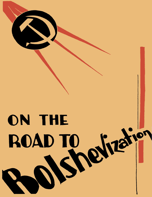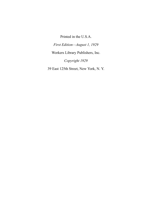Printed in the U.S.A.

*First Edition—August 1, 1929*

Workers Library Publishers, Inc.

*Copyright 1929*

39 East 125th Street, New York, N. Y.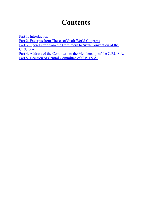## **Contents**

[Part 1. Introduction](#page-3-0) [Part 2. Excerpts from Theses of Sixth World Congress](#page-4-0) [Part 3. Open Letter from the Comintern to Sixth Convention of the](#page-16-0) C.P.U.S.A. [Part 4. Address of the Comintern to the Membership of the C.P.U.S.A.](#page-30-0) [Part 5. Decision of Central Committee of C.P.U.S.A.](#page-40-0)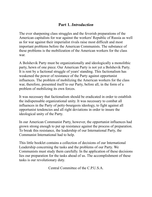#### **Part 1.** *Introduction*

<span id="page-3-0"></span>The ever sharpening class struggles and the feverish preparations of the American capitalists for war against the workers' Republic of Russia as well as for war against their imperialist rivals raise most difficult and most important problems before the American Communists. The substance of these problems is the mobilization of the American workers for the class war.

A Bolshevik Party must be organizationally and ideologically a monolithic party, hewn of one piece. Our American Party is not yet a Bolshevik Party. It is rent by a factional struggle of years' standing. This factionalism has weakened the power of resistance of the Party against opportunist influences. The problem of mobilizing the American workers for the class war, therefore, presented itself to our Party, before all, in the form of a problem of mobilizing its own forces.

It was necessary that factionalism should be eradicated in order to establish the indispensable organizational unity. It was necessary to combat all influences in the Party of petty-bourgeois ideology, to fight against all opportunist tendencies and all right deviations in order to insure the ideological unity of the Party.

In our American Communist Party, however, the opportunist influences had grown strong enough to put up resistance against the process of preparation. To break this resistance, the leadership of our International Party, the Communist International had to help.

This little booklet contains a collection of decisions of our International Leadership concerning the tasks and the problems of our Party. We Communists must study them carefully. In the application of these decisions lies our preparation for the tasks ahead of us. The accomplishment of these tasks is our revolutionary duty.

Central Committee of the C.P.U.S.A.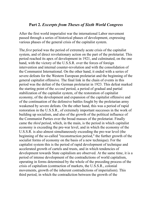#### **Part 2.** *Excerpts from Theses of Sixth World Congress*

<span id="page-4-0"></span>After the first world imperialist war the international Labor movement passed through a series of historical phases of development, expressing various phases of the general crisis of the capitalist system.

The *first* period was the period of extremely acute crisis of the capitalist system, and of direct revolutionary action on the part of the proletariat. This period reached its apex of development in 1921, and culminated, on the one hand, with the victory of the U.S.S.R. over the forces of foreign intervention and internal counter-revolution and with the consolidation of the Communist International. On the other hand, it ended with a series of severe defeats for the Western European proletariat and the beginning of the general capitalist offensive. The final link in the chain of events in this period was the defeat of the German proletariat in 1923. This defeat marked the starting point of the *second* period, a period of gradual and partial stabilization of the capitalist system, of the restoration of capitalist economy, of the development and expansion of the capitalist offensive and of the continuation of the defensive battles fought by the proletarian army weakened by severe defeats. On the other hand, this was a period of rapid restoration in the U.S.S.R., of extremely important successes in the work of building up socialism, and also of the growth of the political influence of the Communist Parties over the broad masses of the proletariat. Finally came the *third* period, which, in the main, is the period in which capitalist economy is exceeding the pre-war level, and in which the economy of the U.S.S.R. is also almost simultaneously exceeding the pre-war level (the beginning of the so-called "reconstruction period," the further growth of the socialist forms of economy on the basis of a new technique). For the capitalist system this is the period of rapid development of technique and accelerated growth of cartels and trusts, and in which tendencies of development towards State capitalism are observed. At the same time, it is a period of intense development of the contradictions of world capitalism, operating in forms determined by the whole of the preceding process of the crisis of capitalism (contraction of markets, the U.S.S.R., colonial movements, growth of the inherent contradictions of imperialism). This third period, in which the contradiction between the growth of the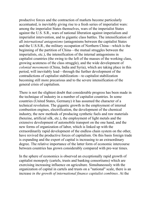productive forces and the contraction of markets become particularly accentuated, is inevitably giving rise to a fresh series of imperialist wars: among the imperialist States themselves, wars of the imperialist States against the U.S. S.R., wars of national liberation against imperialism and imperialist intervention, and to gigantic class battles. The intensification of all *international antagonisms* (antagonisms between the capitalist States and the U.S.S.R., the military occupation of Northern China—which is the beginning of the partition of China—the mutual struggles between the imperialists, etc.), the intensification of the internal antagonisms in capitalist countries (the swing to the left of the masses of the working class, growing acuteness of the class struggle), and the wide development of *colonial movements* (China, India and Syria), which are taking place in this period, will inevitably lead—through the further development of the contradictions of capitalist stabilization—to capitalist stabilization becoming still more precarious and to the severe intensification of the general crisis of capitalism.

There is not the slightest doubt that considerable progress has been made in the technique of industry in a number of capitalist countries. In some countries (United States, Germany) it has assumed the character of a technical revolution. The gigantic growth in the employment of internal combustion engines, electrification, the development of the chemical industry, the new methods of producing synthetic fuels and raw materials (benzine, artificial silk, etc.), the employment of light metals and the extensive development of automobile transport on the one hand, and the new forms of organization of labor, which is linked up with the extraordinarily rapid development of the endless chain system on the other, have revived the productive forces of capitalism. On this basis foreign trade is expanding and the export of capital is increasing to an extraordinary degree. The relative importance of the latter form of economic intercourse between countries has grown considerably compared with pre-war times.

In the sphere of economics is observed an exceptionally rapid growth of capitalist monopoly (cartels, trusts and banking consortiums) which are exercising increasing influence on agriculture. Simultaneously with the organization of capital in cartels and trusts on a "national" scale, there is an increase *in the growth of international finance capitalist combines*. At the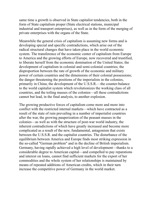same time a growth is observed in State capitalist tendencies, both in the form of State capitalism proper (State electrical stations, municipal industrial and transport enterprises), as well as in the form of the merging of private enterprises with the organs of the State.

Meanwhile the general crisis of capitalism is assuming new forms and is developing special and specific contradictions, which arise out of the radical structural changes that have taken place in the world economic system. The transference of the economic center of capitalism from Europe to America and the growing efforts of Europe, now recovered and trustified, to liberate herself from the economic domination of the United States; the development of capitalism in colonial and semi-colonial countries; the disproportion between the rate of growth of the economic and military power of certain countries and the dimensions of their colonial possessions; the danger threatening the positions of the imperialists in the colonies, primarily in China; the development of the U.S.S.R.—the counter-balance to the world capitalist system which revolutionizes the working class of all countries, and the toiling masses of the colonies—all these contradictions cannot but lead, in the final analysis, to another explosion.

The growing productive forces of capitalism come more and more into conflict with the restricted internal markets—which have contracted as a result of the state of ruin prevailing in a number of imperialist countries after the war, the growing pauperization of the peasant masses in the colonies—as well as with the structure of post-war world industry, the inherent contradictions of which have greatly increased and become more complicated as a result of the new, fundamental, antagonism that exists between the U.S.S.R. and the capitalist countries. The disturbance of the equilibrium between America and Europe finds most striking expression in the so-called "German problem" and in the decline of British imperialism. Germany, having rapidly achieved a high level of development—thanks to a considerable degree to American capital—and compelled to pay reparations and interest on loans, cannot find sufficient markets for the export of her commodities and the whole system of her relationships is maintained by means of repeated additions of American credits, which in their turn increase the competitive power of Germany in the world market.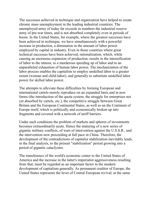The successes achieved in technique and organization have helped to create chronic mass unemployment in the leading industrial countries. The unemployed army of today far exceeds in numbers the industrial reserve army of pre-war times, and is not absorbed completely even in periods of boom. In the United States, for example, where the greatest successes have been achieved in technique, we have simultaneously with a powerful increase in production, a diminution in the amount of labor power employed by capital in industry. Even in those countries where great technical successes have been achieved, rationalization, which, while causing an enormous expansion of production, results in the intensification of labor to the utmost, to a murderous speeding up of labor and to an unparalleled exhaustion of human labor power. The mechanization of the labor process enables the capitalists to employ unskilled labor to a greater extent (woman and child-labor), and generally to substitute unskilled labor power for skilled labor power.

The attempts to alleviate these difficulties by forming European and international cartels merely reproduce on an expanded basis and in new forms (the introduction of the quota system, the struggle for enterprises not yet absorbed by cartels, etc.), the competitive struggle between Great Britain and the European Continental States, as well as on the Continent of Europe itself, which is politically and economically broken up into fragments and covered with a network of tariff barriers.

Under such conditions the problem of markets and spheres of investments becomes extraordinarily acute. Hence the maturing of a new series of gigantic military conflicts, of wars of intervention against the U.S.S.R., and the intervention now proceeding at full pace in China. Therefore, the development of the contradictions of capitalist stabilization inevitably leads, in the final analysis, to the present "stabilization" period growing into a period of gigantic cataclysms.

The transference of the world's economic center to the United States of America and the increase in the latter's imperialist aggressiveness resulting from that, must be regarded as an important factor in the modern development of capitalism generally. As permanent creditor of Europe, the United States represents the lever of Central European revival; at the same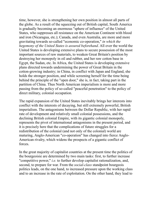time, however, she is strengthening her own position in almost all parts of the globe. As a result of the squeezing out of British capital, South America is gradually becoming an enormous "sphere of influence" of the United States, who suppresses all resistance on the American Continent with blood and iron (Nicaragua, etc.); Canada, and even Australia, are more and more gravitating towards so-called "economic co-operation," *in which the hegemony of the United States is assured beforehand*. All over the world the United States is developing extensive plans to secure possession of the most important sources of raw materials, to weaken Great Britain's position by destroying her monopoly in oil and rubber, and her raw cotton base in Egypt, the Sudan, etc. In Africa, the United States is developing extensive plans directed towards undermining the power of Great Britain in the cotton-growing industry; in China, in conflict with Japan and England, she holds the stronger position, and while screening herself for the time being behind the principle of the "open door," she is, in fact, taking part in the partition of China. Thus North American imperialism is more and more passing from the policy of so-called "peaceful penetration" to the policy of direct military, colonial occupation.

The rapid expansion of the United States inevitably brings her interests into conflict with the interests of decaying, but still extremely powerful, British imperialism. The antagonisms between the Dollar Republic, with her rapid rate of development and relatively small colonial possessions, and the declining British colonial Empire, with its gigantic colonial monopoly, represents the pivot of international antagonisms in the present period, and it is precisely here that the complications of future struggles for a redistribution of the colonial (and not only of the colonial) world are maturing, Anglo-American "co-operation" has changed into fierce Anglo-American rivalry, which widens the prospects of a gigantic conflict of forces.

In the great majority of capitalist countries at the present time the politics of the bourgeoisie are determined by two main tasks: first, to further increase "competitive power," *i.e.* to further develop capitalist rationalization, and, second, to prepare for war. From the *social-class* standpoint bourgeois politics leads, on the one hand, to increased pressure upon the working class and to an increase in the rate of exploitation. On the other hand, they lead to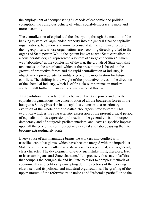the employment of "compensating" methods of economic and political corruption, the conscious vehicle of which social-democracy is more and more becoming.

The centralization of capital and the absorption, through the medium of the banking system, of large landed property into the general finance capitalist organizations, help more and more to consolidate the combined forces of the big exploiters, whose organizations are becoming directly grafted to the organs of State power. While the system known as *war* State capitalism, to a considerable degree, represented a system of "siege economics," which was "abolished" at the conclusion of the war, the growth of State capitalist tendencies on the other hand, which at the present time is based on the growth of productive forces and the rapid centralization of industry, is objectively a prerequisite for military economic mobilization for future conflicts. The shifting in the weight of the productive forces in the direction of the chemical industry, which is of first-class importance in modern warfare, still further enhances the significance of this fact.

This evolution in the relationships between the State power and private capitalist organizations, the concentration of all the bourgeois forces in the bourgeois State, gives rise in all capitalist countries to a reactionary evolution of the whole of the so-called "bourgeois State system." This evolution which is the characteristic expression of the present critical period of capitalism, finds expression politically in the general crisis of bourgeois democracy and of bourgeois parliamentarism, and leaves a specific impress upon all the economic conflicts between capital and labor, causing them to become extraordinarily acute.

Every strike of any magnitude brings the workers into conflict with trustified capitalist giants, which have become merged with the imperialist State power. Consequently, every strike assumes a political, *i, e.*, a general, class character. The development of every such strike must, therefore, lead to its assuming an "anti-State character." It is precisely this state of affairs that compels the bourgeoisie and its State to resort to complex methods of economically and politically corrupting definite sections of the working class itself and its political and industrial organizations. The grafting of the upper stratum of the reformist trade unions and "reformist parties" on to the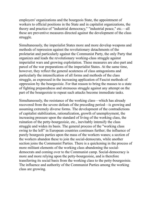employers' organizations and the bourgeois State, the appointment of workers to official positions in the State and in capitalist organizations, the theory and practice of "industrial democracy," "industrial peace," etc.—all these are preventive measures directed against the development of the class struggle.

Simultaneously, the imperialist States more and more develop weapons and methods of repression against the revolutionary detachments of the proletariat and particularly against the Communist Party, the only Party that organizes and leads the revolutionary working-class struggle against imperialist wars and growing exploitation. These measures are also part and parcel of the war preparations of the imperialist States. At the same time, however, they reflect the general acuteness of class antagonisms and particularly the intensification of all forms and methods of the class struggle, as expressed in the increasing application of Fascist methods of oppression by the bourgeoisie. For that reason to bring the masses to a state of fighting preparedness and strenuous struggle against any attempt on the part of the bourgeoisie to repeat such attacks become immediate tasks.

Simultaneously, the resistance of the working class—which has already recovered from the severe defeats of the preceding period—is growing and assuming extremely diverse forms. The development of the contradictions of capitalist stabilization, rationalization, growth of unemployment, the increasing pressure upon the standard of living of the working class, the ruination of the petty-bourgeoisie, etc., inevitably intensify the class struggle and widen its basis. The general process of the "working class swing to the left" in European countries continues further; the influence of purely bourgeois parties upon the mass of the workers wanes; a section of the workers abandon these to join the social-democrats, while another section joins the Communist Parties. There is a quickening in the process of more militant elements of the working class abandoning the socialdemocrats and coming over to the Communist camp. Social-democracy is more and more relying upon the petty-bourgeoisie, and is therefore transferring its social basis from the working class to the petty-bourgeoisie. The influence and authority of the Communist Parties among the working class are growing.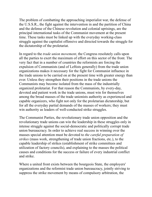The problem of combatting the approaching imperialist war, the defense of the U.S.S.R., the fight against the intervention in and the partition of China and the defense of the Chinese revolution and colonial uprisings, are the principal international tasks of the Communist movement at the present time. These tasks must be linked up with the everyday working-class struggle against the capitalist offensive and directed towards the struggle for the dictatorship of the proletariat.

In regard to the *trade union movement*, the Congress resolutely calls upon all the parties to exert the maximum of effort on this sector of the front. The very fact that in a number of countries the reformists are forcing the expulsion of Communists (and of Leftists generally) from the trade union organizations makes it necessary for the fight for Communist influence in the trade unions to be carried on at the present time with greater energy than ever. Unless they strengthen their positions in the trade unions the Communists may become isolated from the mass of the industrially organized proletariat. For that reason the Communists, by every-day, devoted and patient work in the trade unions, must win for themselves among the broad masses of the trade unionists authority as experienced and capable organizers, who fight not only for the proletarian dictatorship, but for all the everyday partial demands of the masses of workers; they must win authority as leaders of well-conducted strike struggles.

The Communist Parties, the revolutionary trade union opposition and the revolutionary trade unions can win the leadership in these struggles only in intense struggle against the social-democratic and politically corrupt trade union bureaucracy. In order to achieve real success in winning over the masses special attention must be devoted to *the careful preparation of strikes* (mass work, strengthening of trade union fractions, etc.), to the capable leadership of strikes (establishment of strike committees and utilization of factory councils), and explaining to the masses the political causes and conditions for the success or failure of every industrial conflict and strike.

Where a united front exists between the bourgeois State, the employers' organizations and the reformist trade union bureaucracy, jointly striving to suppress the strike movement by means of compulsory arbitration, the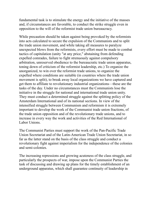fundamental task is to stimulate the energy and the initiative of the masses and, if circumstances are favorable, to conduct the strike struggle even in opposition to the will of the reformist trade union bureaucracy.

While precaution should be taken against being provoked by the reformists into acts calculated to secure the expulsion of the Communists and to split the trade union movement, and while taking all measures to paralyze unexpected blows from the reformists, every effort must be made to combat tactics of capitulation (unity "at any price," abstaining from defending expelled comrades, failure to fight strenuously against compulsory arbitration, unreserved obedience to the bureaucratic trade union apparatus, toning down of criticism of the reformist leadership, etc.) To organize the unorganized, to win over the reformist trade unions, to organize the expelled where conditions are suitable (in countries where the trade union movement is split), to break away local organizations we have captured and get them to affiliate to revolutionary industrial organizations—these are the tasks of the day. Under no circumstances must the Communists lose the initiative in the struggle for national and international trade union unity. They must conduct a determined struggle against the splitting policy of the Amsterdam International and of its national sections. In view of the intensified struggle between Communism and reformism it is extremely important to develop the work of the Communist trade union fractions, of the trade union opposition and of the revolutionary trade unions, and to increase in every way the work and activities of the Red International of Labor Unions.

The Communist Parties must support the work of the Pan-Pacific Trade Union Secretariat and of the Latin-American Trade Union Secretariat, in so far as the latter stand on the basis of the class struggle and conduct a revolutionary fight against imperialism for the independence of the colonies and semi-colonies.

The increasing repressions and growing acuteness of the class struggle, and particularly the prospects of war, impose upon the Communist Parties the task of discussing and drawing up plans for the timely establishment of an underground apparatus, which shall guarantee continuity of leadership in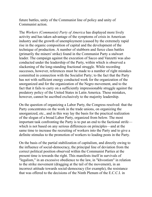future battles, unity of the Communist line of policy and unity of Communist action.

The *Workers (Communist) Party of America* has displayed more lively activity and has taken advantage of the symptoms of crisis in American industry and the growth of unemployment (caused by the extremely rapid rise in the organic composition of capital and the development of the technique of production. A number of stubborn and fierce class battles (primarily the miners' strike) found in the Communist Party a stalwart leader. The campaign against the execution of Sacco and Vanzetti was also conducted under the leadership of the Party, within which is observed a slackening of the long-standing fractional struggle. While recording successes, however, references must be made to a number of right mistakes committed in connection with the Socialist Party; to the fact that the Party has not with sufficient energy conducted work for the organization of the unorganized and for the organization of the Negro movement, and to the fact that it fails to carry on a sufficiently impressionable struggle against the predatory policy of the United States in Latin America. These mistakes, however, cannot be ascribed exclusively to the majority leadership.

On the question of organizing a Labor Party, the Congress resolved: that the Party concentrates on the work in the trade unions, on organizing the unorganized, etc., and in this way lay the basis for the practical realization of the slogan of a broad Labor Party, organized from below. The most important task confronting the Party is to put an end to the factional strife which is not based on any serious differences on principles—and at the same time to increase the recruiting of workers into the Party and to give a definite stimulus to the promotion of workers to leading posts in the Party.

On the basis of the partial stabilization of capitalism, and directly owing to the influence of social-democracy, the principal line of deviation from the correct political position observed within the Communist Parties at the present time is towards the right. This manifests itself in survivals of "legalism," in an excessive obedience to the law, in "khvostism" in relation to the strike movement (dragging at the tail of the movement), in an incorrect attitude towards social-democracy (for example), the resistance that was offered to the decisions of the Ninth Plenum of the E.C.C.I. in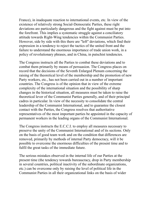France), in inadequate reaction to international events, etc. In view of the existence of relatively strong Social-Democratic Parties, these right deviations are particularly dangerous and the fight against must be put into the forefront. This implies a systematic struggle against a conciliatory attitude towards Right-Wing tendencies within the Communist Parties. However, side by side with this there are "left" deviations, which find their expression in a tendency to reject the tactics of the united front and the failure to understand the enormous importance of trade union work, in a policy of revolutionary phrases, and in China, in putschist tendencies.

The Congress instructs all the Parties to combat these deviations and to combat them primarily by means of persuasion. The Congress places on record that the decisions of the Seventh Enlarged Plenum concerning the raising of the theoretical level of the membership and the promotion of new Party workers, etc., has not been carried out in a number of important countries. The Congress is of the opinion that in view of the extreme complexity of the international situation and the possibility of sharp changes in the historical situation, all measures must be taken to raise the theoretical lever of the Communist Parties generally, and of their principal cadres in particular. In view of the necessity to consolidate the central leadership of the Communist International, and to guarantee the closest contact with the Parties, the Congress resolves that authoritative representatives of the most important parties be appointed in the capacity of permanent workers in the leading organs of the Communist International.

The Congress instructs the E.C.C.I. to employ all measures necessary to preserve the unity of the Communist International and of its sections. Only on the basis of good team work and on the condition that differences are removed, primarily by methods of internal Party democracy, will it be possible to overcome the enormous difficulties of the present time and to fulfil the great tasks of the immediate future.

The serious mistakes observed in the internal life of our Parties at the present time (the tendency towards bureaucracy, drop in Party membership in several countries, political inactivity of the subordinate organizations, etc.) can be overcome only by raising the level of political life in the Communist Parties in all their organizational links on the basis of wider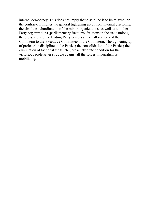internal democracy. This does not imply that discipline is to be relaxed; on the contrary, it implies the general tightening up of iron, internal discipline, the absolute subordination of the minor organizations, as well as all other Party organizations (parliamentary fractions, fractions in the trade unions, the press, etc.) to the leading Party centers and of all sections of the Comintern to the Executive Committee of the Comintern. The tightening up of proletarian discipline in the Parties; the consolidation of the Parties; the elimination of factional strife, etc., are an absolute condition for the victorious proletarian struggle against all the forces imperialism is mobilizing.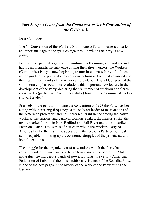#### <span id="page-16-0"></span>**Part 3.** *Open Letter from the Comintern to Sixth Convention of the C.P.U.S.A.*

Dear Comrades:

The VI Convention of the Workers (Communist) Party of America marks an important stage in the great change through which the Party is now going.

From a propagandist organization, uniting chiefly immigrant workers and having an insignificant influence among the native workers, the Workers (Communist) Party is now beginning to turn into a mass Party of political action guiding the political and economic actions of the most advanced and the most militant ranks of the American proletariat. The VI Congress of the Comintern emphasized in its resolutions this important new feature in the development of the Party, declaring that "a number of stubborn and fierce class battles (particularly the miners' strike) found in the Communist Party a stalwart leader."

Precisely in the period following the convention of 1927 the Party has been acting with increasing frequency as the stalwart leader of mass actions of the American proletariat and has increased its influence among the native workers. The furriers' and garment workers' strikes, the miners' strike, the textile workers' strike in New Bedford and Fall River and the silk strike in Paterson—such is the series of battles in which the Workers Party of America has for the first time appeared in the role of a Party of political action capable of linking up the economic struggles of the proletariat with its political aims.

The struggle for the organization of new unions which the Party had to carry on under circumstances of fierce terrorism on the part of the State apparatus, the murderous bands of powerful trusts, the yellow American Federation of Labor and the most stubborn resistance of the Socialist Party, is one of the best pages in the history of the work of the Party during the last year.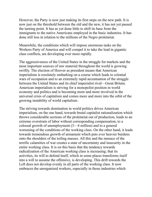However, the Party is now just making its first steps on the new path. It is now just on the threshold between the old and the new, it has not yet passed the turning point. It has as yet done little to shift its base from the immigrants to the native Americans employed in the basic industries. It has done still less in relation to the millions of the Negro proletariat.

Meanwhile, the conditions which will impose enormous tasks on the Workers Party of America and will compel it to take the lead in gigantic class conflicts, are developing ever more rapidly.

The aggressiveness of the United States in the struggle for markets and the most important sources of raw material throughout the world is growing swiftly. The election of Hoover as president means that American imperialism is resolutely embarking on a course which leads to colonial wars of occupation and to an extremely rapid accentuation of the struggle between the United States and its chief imperialist rival—Great Britain. American imperialism is striving for a monopolist position in world economy and politics and is becoming more and more involved in the universal crisis of capitalism and comes more and more into the orbit of the growing instability of world capitalism.

The striving towards domination in world politics drives American imperialism, on the one hand, towards brutal capitalist rationalization which throws considerable sections of the proletariat out of production, leads to an extreme overstrain of labor without corresponding compensation, to a colossal growth of unemployment (3—4 million) and to a general worsening of the conditions of the working class. On the other hand, it leads towards tremendous growth of armament which puts ever heavier burdens onto the shoulders of the toiling masses. All this and the menace of the terrific calamities of war creates a state of uncertainty and insecurity in the entire working class. It is on this basis that the tendency towards radicalization of the American working class is increasing; that its activities, its will to defend itself, which in some places transforms itself into a will to assume the offensive, is developing. This drift towards the Left does not develop evenly in all parts of the working class. It now embraces the unorganized workers, especially in those industries which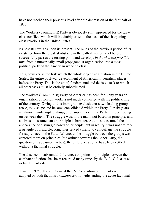have not reached their previous level after the depression of the first half of 1928.

The Workers (Communist) Party is obviously still unprepared for the great class conflicts which will inevitably arise on the basis of the sharpening class relations in the United States.

Its past still weighs upon its present. The relics of the previous period of its existence form the greatest obstacle in the path it has to travel before it successfully passes the turning point and develops *in the shortest possible time* from a numerically small propagandist organization into a mass political party of the American working class.

This, however, is the task which the whole objective situation in the United States, the entire post-war development of American imperialism places before the Party. This is the chief, fundamental and decisive task to which all other tasks must be entirely subordinated.

The Workers (Communist) Party of America has been for many years an organization of foreign workers not much connected with the political life of the country. Owing to this immigrant exclusiveness two leading groups arose, took shape and became consolidated within the Party. For six years an almost uninterrupted struggle for supremacy in the Party has been going on between them. The struggle was, in the main, not based on principle, and at times, it assumed an unprincipled character. At times it assumed the appearance of a struggle based on principle, but in reality it was not entirely a struggle of principle; principles served chiefly to camouflage the struggle for supremacy in the Party. Whenever the struggle between the groups was centered more on principles (the attitude towards the Labor Party, the question of trade union tactics), the differences could have been settled without a factional struggle.

The absence of substantial differences on points of principle between the combatant factions has been recorded many times by the E. C. C. I. as well as by the Party itself.

Thus, in 1925, all resolutions at the IV Convention of the Party were adopted by both factions *unanimously*, notwithstanding the acute factional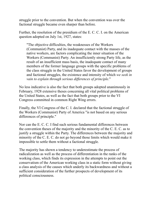struggle prior to the convention. But when the convention was over the factional struggle became even sharper than before.

Further, the resolution of the presidium of the E. C. C. I. on the American question adopted on July 1st, 1927, states:

"The objective difficulties, the weaknesses of the Workers (Communist) Party, and its inadequate contact with the masses of the native workers, are factors complicating the inner situation of the Workers (Communist) Party. An insufficiently strong Party life, as the result of an insufficient mass basis, the inadequate contact of many members of the former language groups with the specific problems of the class struggle in the United States favor the development of groups and factional struggles, the existence and intensity of which *we seek in vain to explain through serious differences of principle*."

No less indicative is also the fact that both groups adopted unanimously in February, 1928 extensive theses concerning all vital political problems of the United States, as well as the fact that both groups prior to the VI Congress committed in common Right Wing errors.

Finally, the VI Congress of the C. I. declared that the factional struggle of the Workers (Communist) Party of America "is not based on any serious differences of principle."

Nor can the E. C. C. I find such serious fundamental differences between the convention theses of the majority and the minority of the C. E. C. as to justify a struggle within the Party. The differences between the majority and minority of the C. E. C. do not go beyond those limits which would make it impossible to settle them without a factional struggle.

The majority has shown a tendency to underestimate the process of radicalization as well as the process of differentiation in the ranks of the working class, which finds its expression in the attempts to point out the conservatism of the American working class in a static form without giving a class analysis of the causes which underly its backwardness and without a sufficient consideration of the further prospects of development of its political consciousness.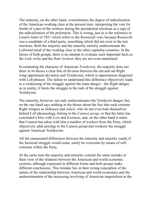The minority, on the other hand, overestimates the degree of radicalization of the American working class at the present time, interpreting the vote for Smith of a part of the workers during the presidential elections as a sign of the radicalization of the proletariat. This is wrong, just as is the reference to Lenin's letter of 1921 which refers to the Roosevelt vote, because Roosevelt was a candidate of a third party, something which did not exist in the last elections. Both the majority and the minority entirely underestimate the Leftward trend of the working class in the other capitalist countries. In the theses of both groups, there is no attempt to evaluate such important facts as the *Lodz strike* and the *Ruhr lockout*; they are not even mentioned.

In estimating the character of American *Trotskyism*, the majority does not draw in its theses a clear line of division between the out and out Right wing opportunist deviation and Trotskyism, which is opportunism disguised with Left phrases. The failure to understand this difference objectively leads to a weakening of the struggle against the main danger—the Right danger, as in reality, it limits the struggle to the task of the struggle against Trotskyism.

The minority, however, not only underestimates the Trotskyist danger, but, on the one hand says nothing in the theses about the fact that such extreme Right wingers as *Sulkanen* and *Askeli*, who do not even hide themselves behind Left phraseology, belong to the *Cannon group*, or that the latter has concluded a bloc with *Lore* and *Eastman*; and, on the other hand it states that Cannon has taken with him a number of workers from the Party, which objectively adds prestige to the Cannon group and weakens the struggle against American Trotskyism.

All the enumerated differences between the minority and majority could, if the factional struggle would cease, easily be overcome by means of selfcriticism within the Party.

At the same time the majority and minority commit the same mistake in their view of the relations between the American and world economic systems, although expressed in different forms and both groups make different conclusions. This mistake lies in their wrong conception of the nature of the relationship between American and world economics and the underestimation of the increasing involving of American imperialism in the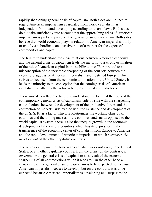rapidly sharpening general crisis of capitalism. Both sides are inclined to regard American imperialism as isolated from world capitalism, as independent from it and developing according to its own laws. Both sides do not take sufficiently into account that the approaching crisis of American imperialism is part and parcel of the general crisis of capitalism. Both sides believe that world economy plays in relation to American imperialism only or chiefly a subordinate and passive role of a market for the export of commodities and capital.

The failure to understand the close relations between American economy and the general crisis of capitalism leads the majority to a wrong estimation of the role of American capital in the stabilization of Europe, and to a misconception of the inevitable sharpening of the conflicts between the ever-more aggressive American imperialism and trustified Europe, which strives to free itself from the economic domination of the United States. It leads the minority to the conception that the coming crisis of American capitalism is called forth exclusively by its internal contradictions.

These mistakes reflect the failure to understand the fact that the roots of the contemporary general crisis of capitalism, side by side with the sharpening contradictions between the development of the productive forces and the contraction of markets, side by side with the existence and development of the U. S. S. R. as a factor which revolutionizes the working class of all countries and the toiling masses of the colonies, and stands opposed to the world capitalist system, there is also the unequal growth in the economic development of the various countries which has its expression in the transference of the economic center of capitalism from Europe to America and the rapid development of American imperialism which *surpasses the development* of the other capitalist countries.

The rapid development of American capitalism *does not exempt* the United States, or any other capitalist country, from the crisis; on the contrary, it *accentuates* the general crisis of capitalism as a result of the extreme sharpening of all contradictions which it leads to. On the other hand a sharpening of the general crisis of capitalism is to be expected not because American imperialism ceases to develop, but on the contrary, it is to be expected because American imperialism is developing and surpasses the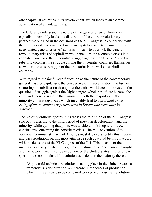other capitalist countries in its development, which leads to an extreme accentuation of all antagonisms.

The failure to understand the nature of the general crisis of American capitalism inevitably leads to a distortion of the entire revolutionary perspective outlined in the decisions of the VI Congress in connection with the third period. To consider American capitalism isolated from the sharply accentuated general crisis of capitalism means to overlook the general revolutionary crisis of capitalism which includes the economic crises in all capitalist countries, the imperialist struggle against the U. S. S. R. and the rebelling colonies, the struggle among the imperialist countries themselves, as well as the class struggle of the proletariat in the various capitalist countries.

With regard to the *fundamental* question as the nature of the contemporary general crisis of capitalism, the perspective of its accentuation, the further shattering of stabilization throughout the entire world economic system, the question of struggle against the Right danger, which has of late become the chief and decisive issue in the Comintern, both the majority and the minority commit *big error*s which inevitably lead to a *profound underrating of the revolutionary perspectives in Europe and especially in America*.

The majority entirely ignores in its theses the resolution of the VI Congress (the point referring to the third period of post-war development), and the minority, while quoting that point, was unable to link it up with its own conclusions concerning the American crisis. The VI Convention of the Workers (Communist) Party of America must decidedly rectify this mistake and pass resolutions on this most vital issue such as would be in full accord with the decisions of the VI Congress of the C. I. This mistake of the majority is closely related to its great overestimation of the economic might and the powerful technical development of the United States. It is wrong to speak of a second industrial revolution as is done in the majority theses.

"A powerful technical revolution is taking place in the United States, a tremendous rationalization, an increase in the forces of production, which in its effects can be compared to a second industrial revolution."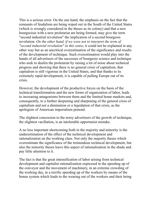This is a serious error. On the one hand, the emphasis on the fact that the remnants of feudalism are being wiped out in the South of the United States (which is wrongly considered in the theses as its colony) and that a new bourgeoisie with a new proletariat are being formed, may give the term "second industrial revolution" the implication of a second bourgeois revolution. *On the other hand, if we were not to interpret the term of "second industrial revolution" in this sense*, it could not be explained in any other way but as an uncritical overestimation of the significance and results of the development of technique. Such overestimation would play into the hands of all advertisers of the successes of bourgeois science and technique who seek to deafen the proletariat by raising a lot of noise about technical progress and showing that there is no general crisis of capitalism, that capitalism is still vigorous in the United States, and that thanks to its extremely rapid development, it is capable of pulling Europe out of its crisis.

However, the development of the productive forces on the basis of the technical transformation and the new forms of organization of labor, leads to increasing antagonisms between them and the limited home markets and, consequently, to a further deepening and sharpening of the general crisis of capitalism and not a diminution or a liquidation of that crisis, as the apologists of American imperialism pretend.

The slightest concession to the noisy advertisers of the growth of technique, the slightest vacillation, is an intolerable opportunist mistake.

A no less important shortcoming both in the majority and minority is the underestimation of the effect of the technical development and rationalization on the working class. Not only the majority theses which overestimate the significance of the tremendous technical development, but also the minority theses leave this aspect of rationalization in the shade and pay little attention to it.

The fact is that the great intensification of labor arising from technical development and capitalist rationalization expressed in the speeding up of the conveyor and the movement of machinery, in an extreme crowding of the working day, in a terrific speeding up of the workers by means of the bonus system which leads to the wearing out of the workers and their being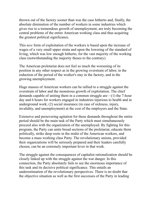thrown out of the factory sooner than was the case hitherto and, finally, the absolute diminution of the number of workers in some industries which gives rise to a tremendous growth of unemployment, are truly becoming the central problems of the entire American working class and thus acquiring the greatest political significance.

This *new* form of exploitation of the workers is based upon the increase of wages of a very small upper strata and upon the lowering of the standard of living, which was low enough hitherto, for the vast majority of the working class (notwithstanding the majority theses to the contrary).

The American proletariat does not feel so much the worsening of its position in any other respect as in the growing overstrain of labor, in the reduction of the period of the worker's stay in the factory, and in the growing unemployment.

Huge masses of American workers can be rallied to a struggle against the overstrain of labor and the monstrous growth of exploitation. The chief demands capable of uniting them in a common struggle are—(1) the 7-hour day and 6 hours for workers engaged in industries injurious to health and in underground work; (2) social insurance (in case of sickness, injury, invalidity, and unemployment) at the cost of the employers and the State.

Extensive and persevering agitation for these demands throughout the entire period should be the main task of the Party which must simultaneously proceed also with the organization of the unemployed. By fighting for this program, the Party can unite broad sections of the proletariat, educate them politically, strike deep roots in the midst of the American workers, and become a mass working class Party. The revolutionary unions, provided their organizations will be seriously prepared and their leaders carefully chosen, can be an extremely important lever in that work.

The struggle against the consequences of capitalist rationalization should be closely linked up with the struggle against the war danger. In this connection, the Party absolutely fails to see the enormous importance of this task and its decisive political significance. This entails an underestimation of the revolutionary perspectives. There is no doubt that the objective situation as well as the first successes of the Party in leading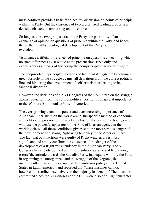mass conflicts provide a basis for a healthy discussion on points of principle within the Party. But the existence of two crystallized leading groups is a decisive obstacle to embarking on this course.

So long as these two groups exist in the Party, the possibility of an exchange of opinion on questions of principle within the Party, and hence the further healthy ideological development of the Party is entirely excluded.

To advance artificial differences of principle on questions concerning which no such differences exist would at the present time serve only and exclusively as a means of furthering the non-principled factional struggle.

The deep-rooted unprincipled methods of factional struggle are becoming a great obstacle in the struggle against all deviations from the correct political line and hindering the development of self-criticism or leading to its factional distortion.

However, the decisions of the VI Congress of the Comintern on the struggle against deviation from the correct political position is of special importance to the Workers (Communist) Party of America.

The ever-growing economic power and ever-increasing importance of American imperialism on the world arena, the specific method of economic and political oppression of the working class on the part of the bourgeoisie, who use the powerful apparatus of the A. F. of L. as an agency in the working class—all these conditions give rise to the most serious danger of the development of a strong Right wing tendency in the American Party. The fact that both factions were guilty of Right wing errors is most significant and amply confirms the existence of the danger of the development of a Right wing tendency in the American Party. The VI Congress has already pointed out in its resolutions a series of Right wing errors (the attitude towards the Socialist Party, inadequate work by the Party in organizing the unorganized and the struggle of the Negroes, the insufficiently clear struggles against the murderous policy of the United States in Latin America), and recorded that "these mistakes cannot, however, be ascribed exclusively to the majority leadership." The mistakes committed since the VI Congress of the C. I. were also of a Right character.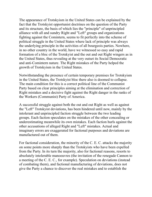The appearance of Trotskyism in the United States can be explained by the fact that the Trotskyist opportunist doctrines on the question of the Party and its structure, the basis of which lies the "principle" of unprincipled alliance with all and sundry Right and "Left" groups and organizations fighting against the Comintern, seems to fit perfectly into the scheme of political struggle in the United States where lack of principle was always the underlying principle in the activities of all bourgeois parties. Nowhere, in no other country in the world, have we witnessed so easy and rapid formation of a bloc of the Trotskyist and the out and out Right wingers as in the United States, thus revealing at the very outset its Social Democratic and anti-Comintern nature. The Right mistakes of the Party helped the growth of Trotskyism in the United States.

Notwithstanding the presence of certain temporary premises for Trotskyism in the United States, the Trotskyist bloc there also is doomed to collapse. The main condition for this is a correct political line of the Communist Party based on clear principles aiming at the elimination and correction of Right mistakes and a decisive fight against the Right danger in the ranks of the Workers (Communist) Party of America.

A successful struggle against both the out and out Right as well as against the "Left" Trotskyist deviations, has been hindered until now, mainly by the intolerant and unprincipled faction struggle between the two leading groups. Each faction speculates on the mistakes of the other concealing or underestimating meanwhile its own mistakes. Each faction hurls against the other accusations of alleged Right and "Left" mistakes. Actual and imaginary errors are exaggerated for factional purposes and deviations are manufactured out of them.

For factional consideration, the minority of the C. E. C. attacks the majority on some points more sharply than the Trotskyists who have been expelled from the Party. In its turn the majority, also for factional reasons, resorts to absolutely intolerable manoeuvres (the invitation of the renegade Cannon to a meeting of the C. E. C., for example). Speculation on deviations (instead of combating them), and factional manufacturing of deviations, does not give the Party a chance to discover the real mistakes and to establish the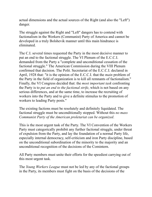actual dimensions and the actual sources of the Right (and also the "Left") danger.

The struggle against the Right and "Left" dangers has to contend with factionalism in the Workers (Communist) Party of America and cannot be developed in a truly Bolshevik manner until this main hindrance is eliminated.

The C.I. several times requested the Party in the most decisive manner to put an end to the factional struggle. The VI Plenum of the E.C.C.I. demanded from the Party a "complete and unconditional cessation of the factional struggle." The American Commission during the VIII Plenum confirmed that decision. The Polit. Secretariat of the E.C.C.I. declared in April, 1928 that: "it is the opinion of the E.C.C.I. that the *main* problem of the Party in the field of organization is to kill all remnants of factionalism." Finally, the VI Congress decided that: the *most important task* confronting the Party is to *put an end to the factional strife*, which is not based on any serious differences, and at the same time, to increase the recruiting of workers into the Party and to give a definite stimulus to the promotion of workers to leading Party posts."

The existing factions must be resolutely and definitely liquidated. The factional struggle must be unconditionally stopped. Without this *no mass Communist Party of the American proletariat can be organized*.

This is the most urgent task of the Party. The VI Convention of the Workers Party must categorically prohibit any further factional struggle, under threat of expulsion from the Party, and lay the foundation of a normal Party life, especially internal democracy, self-criticism and iron Party discipline, based on the unconditional subordination of the minority to the majority and an unconditional recognition of the decisions of the Comintern.

All Party members must unite their efforts for the speediest carrying out of this most urgent task.

The *Young Workers League* must not be led by any of the factional groups in the Party, its members must fight on the basis of the decisions of the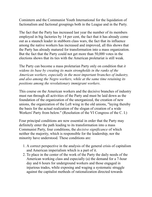Comintern and the Communist Youth International for the liquidation of factionalism and factional groupings both in the League and in the Party.

The fact that the Party has increased last year the number of its members employed in big factories by 14 per cent, the fact that it has already come out as a staunch leader in stubborn class wars, the fact that its influence among the native workers has increased and improved, all this shows that the Party has already matured for transformation into a mass organization. But the fact that the Party could not get more than 50,000 votes in the elections shows that its ties with the American proletariat is still weak.

The Party can become a mass proletarian Party only on condition that *it widens its base by creating its main strongholds in the ranks of the American workers, especially in the most important branches of industry, and also among the Negro workers, while at the same time retaining its positions among the revolutionary immigrant workers*.

This course on the American workers and the decisive branches of industry must run through all activities of the Party and must be laid down as the foundation of the organization of the unorganized, the creation of new unions, the organization of the Left wing in the old unions, "laying thereby the basis for the actual realization of the slogan of creation of a wide Workers' Party from below." (Resolution of the VI Congress of the C. I.)

Four principal conditions are now essential in order that the Party may definitely enter the path leading to its transformation into a mass Communist Party, four conditions, the *decisive significance* of which neither the majority, which is responsible for the leadership, nor the minority have understood. These conditions are:

- 1. A correct perspective in the analysis of the general crisis of capitalism and American imperialism which is a part of it.
- 2. To place in the center of the work of the Party the daily needs of the American working class and especially (a) the demand for a 7-hour day and 6 hours for underground workers and those engaged in injurious trades, while exposing and waging a systematic struggle against the capitalist methods of rationalization directed towards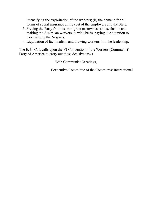intensifying the exploitation of the workers; (b) the demand for all forms of social insurance at the cost of the employers and the State.

- 3. Freeing the Party from its immigrant narrowness and seclusion and making the American workers its wide basis, paying due attention to work among the Negroes.
- 4. Liquidation of factionalism and drawing workers into the leadership.

The E. C. C. I. calls upon the VI Convention of the Workers (Communist) Party of America to carry out these decisive tasks.

With Communist Greetings,

Eexecutive Committee of the Communist International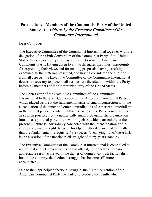#### <span id="page-30-0"></span>**Part 4. To All Members of the Communist Party of the United States:** *An Address by the Executive Committee of the Communist International*

#### Dear Comrades:

The Executive Committee of the Communist International together with the delegation of the Sixth Convention of the Communist Party of the United States, has very carefully discussed the situation in the American Communist Party. Having given to all the delegates the fullest opportunity for expressing their views and for making proposals, having carefully examined all the material presented, and having considered the question from all aspects, the Executive Committee of the Communist International deems it necessary to place in all seriousness the situation within the Party before all members of the Communist Party of the United States.

The Open Letter of the Executive Committee of the Communist International to the Sixth Convention of the American Communist Party, which placed before it the fundamental tasks arising in connection with the accentuation of the inner and outer contradictions of American imperialism in the present period, pointed out the necessity of the Party converting itself as soon as possible from a numerically small propagandistic organization into a mass political party of the working class, which particularly at the present juncture is indissolubly connected with the intensification of the struggle against the right danger. This Open Letter declared categorically that the fundamental prerequisite for a successful carrying out of these tasks is the cessation of the unprincipled struggle of many years standing.

The Executive Committee of the Communist International is compelled to record that at the Convention itself and after it, not only was there no appreciable result achieved in the matter of doing away with factionalism, but on the contrary, the factional struggle has become still more accentuated.

Due to the unprincipled factional struggle, the Sixth Convention of the American Communist Party had failed to produce the results which it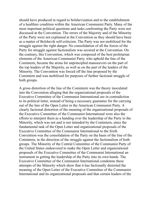should have produced in regard to bolshevization and to the establishment of a healthier condition within the American Communist Party. Many of the most important political questions and tasks confronting the Party were not discussed at the Convention. The errors of the Majority and of the Minority of the Party were not explained at the Convention as they should have been as a matter of Bolshevik self-criticism. The Party was not mobilized for the struggle against the right danger. No consolidation of all the forces of the Party for struggle against factionalism was secured at the Convention. On the contrary, this Convention, which was composed of the best proletarian elements of the American Communist Party, who uphold the line of the Comintern, became the arena for unprincipled manoeuvers on the part of the top leaders of the Majority, as well as on the part of the leaders of the Minority. The Convention was forced off the line proposed by the Comintern and was mobilized for purposes of further factional struggle of both groups.

A gross distortion of the line of the Comintern was the theory inoculated into the Convention alleging that the organizational proposals of the Executive Committee of the Communist International are in contradiction to its political letter, instead of being a necessary guarantee for the carrying out of the line of the Open Letter in the American Communist Party. A clearly factional distortion of the meaning of the organizational proposals of the Executive Committee of the Communist International were also the efforts to interpret them as a handing over the leadership of the Party to the Minority, which was not and is not intended by the Comintern, since the fundamental task of the Open Letter and organizational proposals of the Executive Committee of the Communist International to the Sixth Convention was the consolidation of the Party on the basis of the line of the Comintern, in the direction of the struggle against the factionalism of both groups. The Minority of the Central Committee of the Communist Party of the United States endeavored to make the Open Letter and organizational proposals of the Executive Committee of the Communist International an instrument in getting the leadership of the Party into its own hands. The Executive Committee of the Communist International condemns these attempts of the Minority which show that it has factionally distorted the meaning of the Open Letter of the Executive Committee of the Communist International and its organizational proposals and that certain leaders of the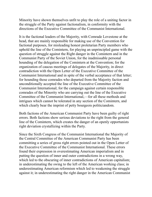Minority have shown themselves unfit to play the role of a uniting factor in the struggle of the Party against factionalism, in conformity with the directions of the Executive Committee of the Communist International.

It is the factional leaders of the Majority, with Comrade Lovestone at the head, that are mainly responsible for making use of the Convention for factional purposes, for misleading honest proletarian Party members who uphold the line of the Comintern, for playing an unprincipled game with the question of struggle against the Right danger in the Comintern and in the Communist Party of the Soviet Union, for the inadmissable personal hounding of the delegation of the Comintern at the Convention; for the organization of caucus meetings of delegates of the Majority, in direct contradiction with the Open Letter of the Executive Committee of the Communist International and in spite of the verbal acceptance of that letter; for hounding those comrades who departed from the Majority faction and unconditionally accepted the line of the Executive Committee of the Communist International; for the campaign against certain responsible comrades of the Minority who are carrying out the line of the Executive Committee of the Communist International,—for all these methods and intrigues which cannot be tolerated in any section of the Comintern, and which clearly bear the imprint of petty bourgeois politiciandom.

Both factions of the American Communist Party have been guilty of right errors. Both factions show serious deviations to the right from the general line of the Comintern, which creates the danger of an openly opportunists right deviation crystallizing within the Party.

Since the Sixth Congress of the Communist International the Majority of the Central Committee of the American Communist Party has been committing a series of gross right errors pointed out in the Open Letter of the Executive Committee of the Communist International. These errors found their expression in overestimating American imperialism and in putting the question of inner and outer contradictions in a wrong way, which led to the obscuring of inner contradictions of American capitalism; in underestimating the swing to the left of the American working class; in underestimating American reformism which led to weakening the struggle against it; in underestimating the right danger in the American Communist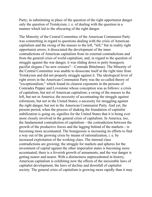Party; in substituting in place of the question of the right opportunist danger only the question of Trotskyism, i. e. of dealing with the question in a manner which led to the obscuring of the right danger.

The Minority of the Central Committee of the American Communist Party was committing in regard to questions dealing with the crisis of American capitalism and the swing of the masses to the left, "left," but in reality right opportunist errors; it dissociated the development of the inner contradictions of American capitalism from its external contradictions and from the general crisis of world capitalism, and, in regard to the question of struggle against the war danger, it was sliding down to petty bourgeois pacifist slogans ("no new cruisers"—Comrade Bittelman). The Minority of the Central Committee was unable to dissociate itself at the right time from Trotskyism and did not properly struggle against it. The ideological lever of right errors in the American Communist Party was the so-called theory of "exceptionalism," which found its clearest exponents in the persons of Comrades Pepper and Lovestone whose conception was as follows: a crisis of capitalism, but not of American capitalism; a swing of the masses to the left, but not in America; the necessity of accentuating the struggle against reformism, but not in the United States; a necessity for struggling against the right danger, but not in the American Communist Party. And yet, the present period, when the process of shaking the foundation of capitalist stabilization is going on, signifies for the United States that it is being ever more closely involved in the general crisis of capitalism. In America, too, the fundamental contradiction of capitalism—the contradiction between the growth of the productive forces and the lagging behind of the markets—is becoming more accentuated. The bourgeoisie is increasing its efforts to find a way out of the growing crisis by means of rationalization, i. e. by increased exploitation of the working class. The internal class contradictions are growing; the struggle for markets and spheres for the investment of capital against the other imperialist states is becoming more accentuated; there is a feverish growth of armaments; and the war danger is getting nearer and nearer. With a distinctness unprecedented in history, American capitalism is exhibiting now the effects of the inexorable laws of capitalist development, the laws of decline and downfall of capitalist society. The general crisis of capitalism is growing more rapidly than it may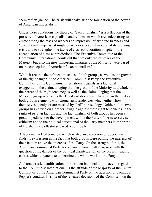seem at first glance. The crisis will shake also the foundation of the power of American imperialism.

Under these conditions the theory of "exceptionalism" is a reflection of the pressure of American capitalism and reformism which are endeavoring to create among the mass of workers an impression of absolute firmness and "exceptional" imperialist might of American capital in spite of its growing crisis and to strengthen the tactic of class collaboration in spite of the accentuation of class contradictions. The Executive Committee of the Communist International points out that not only the mistakes of the Majority but also the most important mistakes of the Minority were based on the conception of American "exceptionalism."

While it records the political mistakes of both groups, as well as the growth of the right danger in the American Communist Party, the Executive Committee of the Communist International regards as a factional exaggeration the claim, alleging that the group of the Majority as a whole is the bearer of the right tendency as well as the claim alleging that the Minority group represents the Trotskyist deviation. There are in the ranks of both groups elements with strong right tendencies which either show themselves openly, or are masked by "left" phraseology. Neither of the two groups has carried on a proper struggle against these right tendencies 'in the ranks of its own faction, and the factionalism of both groups has been a great impediment to the development within the Party of the necessary selfcriticism and to the political educational of the Party members in the spirit of Bolshevik steadfastness based on principle.

A factional lack of principle which is also an expression of opportunism, finds its expression in the fact that both groups were putting the interests of their faction above the interests of the Party. On the strength of this, the American Communist Party is confronted now in all sharpness with the question of the danger of the political disintegration of the present leading cadres which threatens to undermine the whole work of the Party.

A characteristic manifestation of the rotten factional diplomacy in regards to the Communist International, is the attitude of the Majority of the Central Committee of the American Communist Party on the question of Comrade Pepper's conduct. In spite of the repeated decisions of the Comintern on the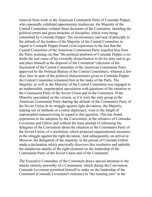removal from work in the American Communist Party of Comrade Pepper, who repeatedly exhibited opportunistic tendencies, the Majority of the Central Committee violated these decisions of the Comintern, shielding the political errors and gross breaches of discipline, which were being committed by Comrade Pepper. The inconsistency and lack of principle in the attitude of the leaders of the Majority of the Central Committee in regard to Comrade Pepper found vivid expression in the fact that the Central Committee of the American Communist Party expelled him from the Party, pointing out that "the political platform of Comrade Pepper is no doubt the real cause of his cowardly disinclination to do his duty and to go and place himself at the disposal of the Comintern" (decision of the Secretariat of the Central Committee of the American Communist Party approved by the Political Bureau of the Central Committee), whereas a few days later in spite of the political characteristics given to Comrade Pepper the Central Committee reinstated him in the ranks of the Party. The Majority, as well as the Minority of the Central Committee was engaged in an inadmissible, unprincipled speculation with questions of the situation in the Communist Party of the Soviet Union and in the Comintern. If the Minority speculated on the version, as if it were the only group in the American Communist Party sharing the attitude of the Communist Party of the Soviet Union in its struggle against right deviations, the Majority, making use of methods of a rotten diplomacy, went to the length of unprincipled manoeuvering in regard to this question. This has found expression in the adoption by the Convention, at the initiative of Comrades Lovestone and Gitlow and without the least attempt of informing the delegates of the Convention about the situation in the Communist Party of the Soviet Union, of a resolution, which proposed organizational measures in the struggle against the right deviation. And subsequently, on arrival in Moscow, the delegation of the majority, in the person of Comrade Gitlow made a declaration which practically disavows this resolution and upholds the slanderous attacks of the right elements on the leadership of the Communist Party of the Soviet Union and of the Comintern.

The Executive Committee of the Comintern draws special attention to the attacks entirely unworthy of a Communist, which during the Convention, Comrade Lovestone permitted himself to make on the leadership of the Comintern (Comrade Lovestone's reference to "the running sore" in the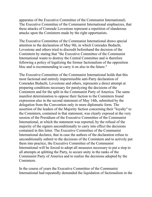apparatus of the Executive Committee of the Communist International). The Executive Committee of the Communist International emphasizes, that these attacks of Comrade Lovestone represent a repetition of slanderous attacks upon the Comintern made by the right opportunists.

The Executive Committee of the Communist International draws special attention to the declaration of May 9th, in which Comrades Bedacht, Lovestone and others tried to discredit beforehand the decision of the Comintern by stating that "the Executive Committee of the Communist International wants to destroy the Central Committee and is therefore following a policy of legalizing the former factionalism of the opposition bloc and is recommending to carry it on also in the future."

The Executive Committee of the Communist International holds that this most factional and entirely impermissible anti-Party declaration of Comrades Bedacht, Lovestone and others, represents a direct attempt at preparing conditions necessary for paralyzing the decisions of the Comintern and for the split in the Communist Party of America. The same manifest determination to oppose their faction to the Comintern found expression also in the second statement of May 14th, submitted by the delegation from the Convention only in more diplomatic form. The assertion of the leaders of the Majority faction concerning their "loyalty" to the Comintern, contained in that statement, was clearly exposed at the very session of the Presidium of the Executive Committee of the Communist International, at which the statement was reported, by the refusal of the majority of the signers unconditionally to carry into effect the decisions contained in this letter. The Executive Committee of the Communist International declares, that in case the authors of the declaration refuse to unconditionally submit to the decisions of the Comintern and to actively put them into practice, the Executive Committee of the Communist International will be forced to adopt all measures necessary to put a stop to all attempts at splitting the Party, to secure unity in the ranks of the Communist Party of America and to realize the decisions adopted by the Comintern.

In the course of years the Executive Committee of the Communist International had repeatedly demanded the liquidation of factionalism in the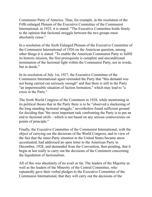Communist Party of America. Thus, for example, in the resolution of the Fifth enlarged Plenum of the Executive Committee of the Communist International, in 1925, it is stated: "The Executive Committee holds firmly to the opinion that factional struggle between the two groups must absolutely cease."

In a resolution of the Sixth Enlarged Plenum of the Executive Committee of the Communist International of 1926 on the American question, among other things it is stated: "To enable the American Communist Party to fulfill its historic mission, the first prerequisite is complete and unconditional termination of the factional fight within the Communist Party, not in words, but in deeds."

In its resolution of July 1st, 1927, the Executive Committee of the Communist International again reminded the Party that "this demand was not being carried out seriously enough" and that there is still in the Party "an impermissible situation of faction formation," which may lead to "a crisis in the Party."

The Sixth World Congress of the Comintern in 1928, while mentioning in its political theses that in the Party there is to be "observed a slackening of the long standing factional struggle," nevertheless found sufficient ground for deciding that "the most important task confronting the Party is to put an end to factional strife—which is not based on any serious controversies on points of principle."

Finally, the Executive Committee of the Communist International, with the object of carrying out the decisions of the World Congress, and in view of the fact that the inner-Party situation in the United States became anew accentuated, had addressed an open letter to the American Party in December, 1928, and demanded from the Convention, then pending, that it begin at last really to carry out the decisions of the Comintern concerning the liquidation of factionalism.

All of this was absolutely of no avail so far. The leaders of the Majority as well as the leaders of the Minority of the Central Committee, who repeatedly gave their verbal pledges to the Executive Committee of the Communist International, that they will carry out the decisions of the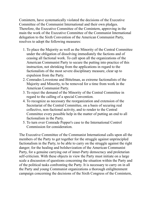Comintern, have systematically violated the decisions of the Executive Committee of the Communist International and their own pledges. Therefore, the Executive Committee of the Comintern, approving in the main the work of the Executive Committee of the Communist International delegation to the Sixth Convention of the American Communist Party, resolves to adopt the following measures:

- 1. To place the Majority as well as the Minority of the Central Committee under the obligation of dissolving immediately the factions and of ceasing all factional work. To call upon all the organizations of the American Communist Party to secure the putting into practice of this instruction, not shrinking from the applications in regard to the factionalists of the most severe disciplinary measure, clear up to expulsion from the Party.
- 2. Comrades Lovestone and Bittelman, as extreme factionalists of the Majority and Minority, to be removed for a time from work in the American Communist Party.
- 3. To reject the demand of the Minority of the Central Committee in regard to the calling of a special Convention.
- 4. To recognize as necessary the reorganization and extension of the Secretariat of the Central Committee, on a basis of securing real collective, non-factional activity, and to render to the Central Committee every possible help in the matter of putting an end to all factionalism in the Party.
- 5. To turn over Comrade Pepper's case to the International Control Commission for consideration.

The Executive Committee of the Communist International calls upon all the members of the Party to get together for the struggle against unprincipled factionalism in the Party, to be able to carry on the struggle against the right danger; for the healing and bolshevization of the American Communist Party, for a genuine carrying out of inner-Party democracy and proletarian self-criticism. With these objects in view the Party must initiate on a large scale a discussion of questions concerning the situation within the Party and of the political tasks confronting the Party. It is necessary to carry on in all the Party and young Communist organizations a thorough enlightenment campaign concerning the decisions of the Sixth Congress of the Comintern,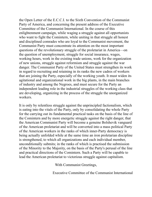the Open Letter of the E.C.C.I. to the Sixth Convention of the Communist Party of America, and concerning the present address of the Executive Committee of the Communist International. In the course of this enlightenment campaign, while waging a struggle against all opportunists who want to fight the Comintern, while uniting in that struggle all honest and disciplined comrades who are loyal to the Communist movement, the Communist Party must concentrate its attention on the most important questions of the revolutionary struggle of the proletariat in America—on the question of unemployment, struggle for social insurance, wages, working hours, work in the existing trade unions, work for the organization of new unions, struggle against reformism and struggle against the war danger. The Communist Party of the United States must strengthen its work in regard to recruiting and retaining in its ranks the new cadres of workers that are joining the Party, especially of the working youth. It must widen its agitational and organizational work in the big plants, in the main branches of industry and among the Negroes, and must secure for the Party an independent leading role in the industrial struggles of the working class that are developing, organizing in the process of the struggle the unorganized workers.

It is only by relentless struggle against the unprincipled factionalism, which is eating into the vitals of the Party, only by consolidating the whole Party for the carrying out its fundamental practical tasks on the basis of the line of the Comintern and by more energetic struggle against the right danger, that the American Communist Party will become a genuine Bolshevik vanguard of the American proletariat and will be converted into a mass political Party of the American workers in the ranks of which inner-Party democracy is being actually unfolded while at the same time an iron proletarian discipline is strengthened, to which all organizations and each individual member, unconditionally submits; in the ranks of which is practised the submission of the Minority to the Majority, on the basis of the Party's perusal of the line and practical directions of the Comintern. Such a Party will be capable to lead the American proletariat to victorious struggle against capitalism.

With Communist Greetings,

Executive Committee of the Communist International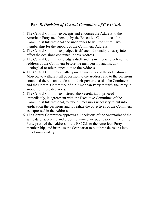#### **Part 5.** *Decision of Central Committee of C.P.U.S.A.*

- <span id="page-40-0"></span>1. The Central Committee accepts and endorses the Address to the American Party membership by the Executive Committee of the Communist International and undertakes to win the entire Party membership for the support of the Comintern Address.
- 2. The Central Committee pledges itself unconditionally to carry into effect the decisions contained in this Address.
- 3. The Central Committee pledges itself and its members to defend the Address of the Comintern before the membership against any ideological or other opposition to the Address.
- 4. The Central Committee calls upon the members of the delegation in Moscow to withdraw all opposition to the Address and to the decisions contained therein and to do all in their power to assist the Comintern and the Central Committee of the American Party to unify the Party in support of these decisions.
- 5. The Central Committee instructs the Secretariat to proceed immediately, in agreement with the Executive Committee of the Communist International, to take all measures necessary to put into application the decisions and to realize the objectives of the Comintern as expressed in the Address.
- 6. The Central Committee approves all decisions of the Secretariat of the same date, accepting and ordering immediate publication in the entire Party press of the Address of the E.C.C.I. to the American Party membership, and instructs the Secretariat to put these decisions into effect immediately.